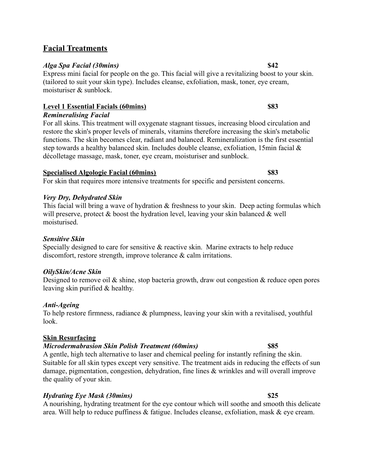## **Facial Treatments**

### *Alga Spa Facial (30mins)* **\$42**

Express mini facial for people on the go. This facial will give a revitalizing boost to your skin. (tailored to suit your skin type). Includes cleanse, exfoliation, mask, toner, eye cream, moisturiser & sunblock.

### **Level 1 Essential Facials (60mins) \$83** *Remineralising Facial*

For all skins. This treatment will oxygenate stagnant tissues, increasing blood circulation and restore the skin's proper levels of minerals, vitamins therefore increasing the skin's metabolic functions. The skin becomes clear, radiant and balanced. Remineralization is the first essential step towards a healthy balanced skin. Includes double cleanse, exfoliation, 15min facial & décolletage massage, mask, toner, eye cream, moisturiser and sunblock.

### **Specialised Algologie Facial (60mins) \$83**

For skin that requires more intensive treatments for specific and persistent concerns.

### *Very Dry, Dehydrated Skin*

This facial will bring a wave of hydration & freshness to your skin. Deep acting formulas which will preserve, protect  $\&$  boost the hydration level, leaving your skin balanced  $\&$  well moisturised.

### *Sensitive Skin*

Specially designed to care for sensitive & reactive skin. Marine extracts to help reduce discomfort, restore strength, improve tolerance & calm irritations.

### *OilySkin/Acne Skin*

Designed to remove oil  $\&$  shine, stop bacteria growth, draw out congestion  $\&$  reduce open pores leaving skin purified & healthy.

### *Anti-Ageing*

To help restore firmness, radiance & plumpness, leaving your skin with a revitalised, youthful look.

### **Skin Resurfacing**

### *Microdermabrasion Skin Polish Treatment (60mins)* **\$85**

A gentle, high tech alternative to laser and chemical peeling for instantly refining the skin. Suitable for all skin types except very sensitive. The treatment aids in reducing the effects of sun damage, pigmentation, congestion, dehydration, fine lines & wrinkles and will overall improve the quality of your skin.

### *Hydrating Eye Mask (30mins)* **\$25**

A nourishing, hydrating treatment for the eye contour which will soothe and smooth this delicate area. Will help to reduce puffiness & fatigue. Includes cleanse, exfoliation, mask & eye cream.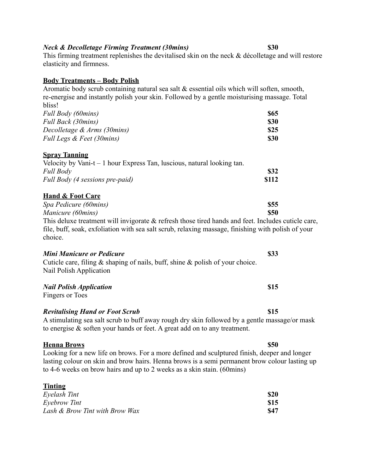## *Neck & Decolletage Firming Treatment (30mins)* **\$30**

This firming treatment replenishes the devitalised skin on the neck & décolletage and will restore elasticity and firmness.

### **Body Treatments – Body Polish**

Aromatic body scrub containing natural sea salt & essential oils which will soften, smooth, re-energise and instantly polish your skin. Followed by a gentle moisturising massage. Total bliss! *Full Body (60mins)* **\$65**

| ພບພ         |
|-------------|
| <b>\$30</b> |
| \$25        |
| <b>\$30</b> |
|             |

### **Spray Tanning**

| Velocity by Vani-t $-1$ hour Express Tan, luscious, natural looking tan. |             |
|--------------------------------------------------------------------------|-------------|
| Full Body                                                                | <b>\$32</b> |
| Full Body (4 sessions pre-paid)                                          | \$112       |

## **Hand & Foot Care**

| Spa Pedicure (60mins)                                                                                 | <b>\$55</b> |
|-------------------------------------------------------------------------------------------------------|-------------|
| Manicure (60mins)                                                                                     | \$50        |
| This deluxe treatment will invigorate $\&$ refresh those tired hands and feet. Includes cuticle care, |             |
| tile buff soak exfoliation with sea salt scrub relaxing massage finishing with polish of your         |             |

file, buff, soak, exfoliation with sea salt scrub, relaxing massage, finishing with polish of your choice.

### *Mini Manicure or Pedicure* **\$33** Cuticle care, filing & shaping of nails, buff, shine & polish of your choice. Nail Polish Application

## *Nail Polish Application* **\$15**

Fingers or Toes

## *Revitalising Hand or Foot Scrub* **\$15**

A stimulating sea salt scrub to buff away rough dry skin followed by a gentle massage/or mask to energise & soften your hands or feet. A great add on to any treatment.

### **Henna Brows \$50**

Looking for a new life on brows. For a more defined and sculptured finish, deeper and longer lasting colour on skin and brow hairs. Henna brows is a semi permanent brow colour lasting up to 4-6 weeks on brow hairs and up to 2 weeks as a skin stain. (60mins)

| <b>Tinting</b>                 |             |
|--------------------------------|-------------|
| Eyelash Tint                   | \$20        |
| Eyebrow Tint                   | <b>S15</b>  |
| Lash & Brow Tint with Brow Wax | <b>\$47</b> |